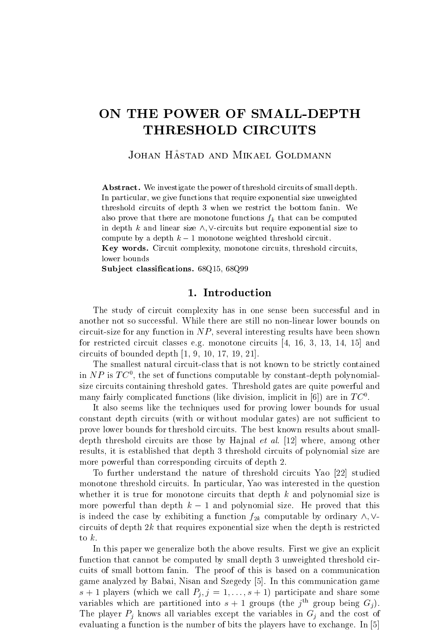# ON THE POWER OF SMALL-DEPTH THRESHOLD CIRCUITS

JOHAN HÅSTAD AND MIKAEL GOLDMANN

Abstract. We investigate the power of threshold circuits of small depth. In particular, we give functions that require exponential size unweighted threshold circuits of depth 3 when we restrict the bottom fanin. We also prove that there are monotone functions  $f_k$  that can be computed in depth k and linear size  $\wedge$ ,  $\vee$ -circuits but require exponential size to compute by a depth  $k-1$  monotone weighted threshold circuit.

Key words. Circuit complexity, monotone circuits, threshold circuits, lower bounds

Subject classifications. 68Q15, 68Q99

# 1. Introduction

The study of circuit complexity has in one sense been successful and in another not so successful. While there are still no non-linear lower bounds on circuit-size for any function in  $NP$ , several interesting results have been shown for restricted circuit classes e.g. monotone circuits [4, 16, 3, 13, 14, 15] and circuits of bounded depth [1, 9, 10, 17, 19, 21].

The smallest natural circuit-class that is not known to be strictly contained in  $N P$  is  $I\cup$  , the set of functions computable by constant-depth polynomialsize circuits containing threshold gates. Threshold gates are quite powerful and many fairly complicated functions (like division, implicit in  $[6]$ ) are in  $IC^{\circ}$ .

It also seems like the techniques used for proving lower bounds for usual constant depth circuits (with or without modular gates) are not sufficient to prove lower bounds for threshold circuits. The best known results about smalldepth threshold circuits are those by Hajnal *et al.* [12] where, among other results, it is established that depth 3 threshold circuits of polynomial size are more powerful than corresponding circuits of depth 2.

To further understand the nature of threshold circuits Yao [22] studied monotone threshold circuits. In particular, Yao was interested in the question whether it is true for monotone circuits that depth  $k$  and polynomial size is more powerful than depth  $k-1$  and polynomial size. He proved that this is indeed the case by exhibiting a function  $f_{2k}$  computable by ordinary  $\wedge$ ,  $\vee$ circuits of depth 2k that requires exponential size when the depth is restricted

to  $k$ .<br>In this paper we generalize both the above results. First we give an explicit function that cannot be computed by small depth 3 unweighted threshold circuits of small bottom fanin. The proof of this is based on a communication game analyzed by Babai, Nisan and Szegedy [5]. In this communication game  $\sigma$  + 1 players (which we call  $P_j$ ,  $j = 1, \ldots, \sigma + 1$ ) participate and share some variables which are partitioned into  $s + 1$  groups (the  $j^{\text{th}}$  group being  $G_j$ ). The player  $P_i$  knows all variables except the variables in  $G_i$  and the cost of evaluating a function is the number of bits the players have to exchange. In [5]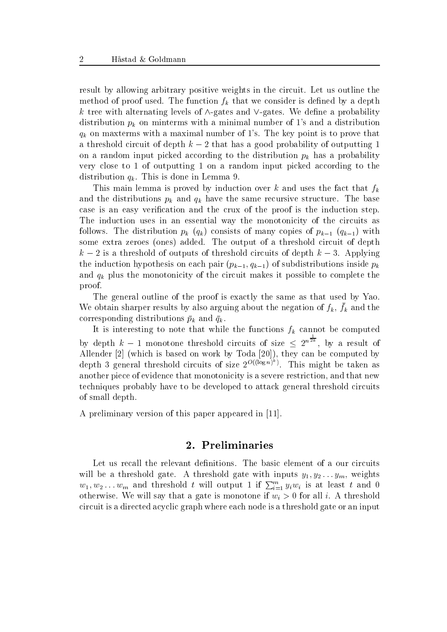result by allowing arbitrary positive weights in the circuit. Let us outline the method of proof used. The function  $f_k$  that we consider is defined by a depth k tree with alternating levels of  $\wedge$ -gates and  $\vee$ -gates. We define a probability distribution  $p_k$  on minterms with a minimal number of 1's and a distribution  $q_k$  on maxterms with a maximal number of 1's. The key point is to prove that a threshold circuit of depth  $k-2$  that has a good probability of outputting 1 on a random input picked according to the distribution  $p_k$  has a probability very close to 1 of outputting 1 on a random input picked according to the distribution  $q_k$ . This is done in Lemma 9.

This main lemma is proved by induction over k and uses the fact that  $f_k$ and the distributions  $p_k$  and  $q_k$  have the same recursive structure. The base case is an easy verication and the crux of the proof is the induction step. The induction uses in an essential way the monotonicity of the circuits as follows. The distribution  $p_k$  ( $q_k$ ) consists of many copies of  $p_{k-1}$  ( $q_{k-1}$ ) with some extra zeroes (ones) added. The output of a threshold circuit of depth  $\kappa = 2$  is a threshold of outputs of threshold circuits of depth  $\kappa = 3$ . Applying the induction hypothesis on each pair  $(p_{k-1}, q_{k-1})$  of subdistributions inside  $p_k$ and  $q_k$  plus the monotonicity of the circuit makes it possible to complete the proof.

The general outline of the proof is exactly the same as that used by Yao. We obtain sharper results by also arguing about the hegation or  $f_k$ ,  $f_k$  and the corresponding distributions  $\bar{p}_k$  and  $\bar{q}_k$ .

It is interesting to note that while the functions  $f_k$  cannot be computed by depth  $k-1$  monotone threshold circuits of size  $\leq 2^{n\bar{2k}}$ , by a result of Allender [2] (which is based on work by Toda [20]), they can be computed by depth 3 general threshold circuits of size  $2^{\mathcal{O}(\log n)}$ . This might be taken as another piece of evidence that monotonicity is a severe restriction, and that new techniques probably have to be developed to attack general threshold circuits of small depth.

A preliminary version of this paper appeared in [11].

# 2. Preliminaries

Let us recall the relevant definitions. The basic element of a our circuits will be a threshold gate. A threshold gate with inputs  $g_1, g_2 \ldots g_m$ , weights  $w_1, w_2 \ldots w_m$  and threshold t will output 1 if  $\sum_{i=1}^m y_i w_i$  is at least t and 0 otherwise. We will say that a gate is monotone if  $w_i > 0$  for all i. A threshold circuit is a directed acyclic graph where each node is a threshold gate or an input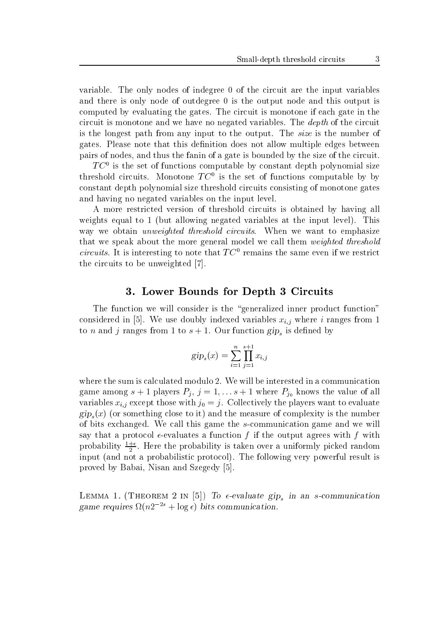variable. The only nodes of indegree 0 of the circuit are the input variables and there is only node of outdegree 0 is the output node and this output is computed by evaluating the gates. The circuit is monotone if each gate in the circuit is monotone and we have no negated variables. The depth of the circuit is the longest path from any input to the output. The size is the number of gates. Please note that this definition does not allow multiple edges between pairs of nodes, and thus the fanin of a gate is bounded by the size of the circuit.

 $IC^{\circ}$  is the set of functions computable by constant depth polynomial size threshold circuits. Monotone  $I\cup$  is the set of functions computable by by constant depth polynomial size threshold circuits consisting of monotone gates and having no negated variables on the input level.

A more restricted version of threshold circuits is obtained by having all weights equal to 1 (but allowing negated variables at the input level). This way we obtain *unweighted threshold circuits*. When we want to emphasize that we speak about the more general model we call them weighted threshold circuits. It is interesting to note that  $TC^0$  remains the same even if we restrict the circuits to be unweighted [7].

#### 3. Lower Bounds for Depth 3 Circuits

The function we will consider is the "generalized inner product function" considered in [5]. We use doubly indexed variables  $x_{i,j}$  where i ranges from 1 to *n* and *j* ranges from 1 to  $s + 1$ . Our function gip<sub>s</sub> is defined by

$$
gip_s(x) = \sum_{i=1}^{n} \prod_{j=1}^{s+1} x_{i,j}
$$

where the sum is calculated modulo 2. We will be interested in a communication game among  $s + 1$  players  $P_j$ ,  $j = 1, \ldots s + 1$  where  $P_{j_0}$  knows the value of all variables  $x_{i,j}$  except those with  $j_0 = j$ . Collectively the players want to evaluate  $gip_s(x)$  (or something close to it) and the measure of complexity is the number of bits exchanged. We call this game the s-communication game and we will say that a protocol  $\epsilon$ -evaluates a function f if the output agrees with f with probability 1+ . Here the probability is taken over a uniformly picked random input (and not a probabilistic protocol). The following very powerful result is proved by Babai, Nisan and Szegedy [5].

LEMMA 1. (THEOREM 2 IN [5]) To  $\epsilon$ -evaluate gip<sub>s</sub> in an s-communication game requires  $\Omega(n^2 + \log \epsilon)$  bits communication.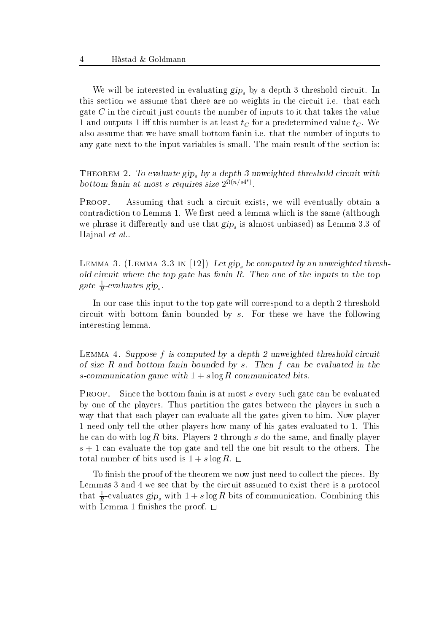We will be interested in evaluating  $\pi p_s$  by a depth 3 threshold circuit. In this section we assume that there are no weights in the circuit i.e. that each gate  $C$  in the circuit just counts the number of inputs to it that takes the value 1 and outputs 1 iff this number is at least  $t_C$  for a predetermined value  $t_C$ . We also assume that we have small bottom fanin i.e. that the number of inputs to any gate next to the input variables is small. The main result of the section is:

THEOREM 2. To evaluate gips by a depth 3 unweighted threshold circuit with bottom fanin at most s requires size  $2^{s\iota(n/s+1)}$ .

PROOF. Assuming that such a circuit exists, we will eventually obtain a contradiction to Lemma 1. We first need a lemma which is the same (although we phrase it differently and use that  $\text{gip}_s$  is almost unbiased) as Lemma 3.3 of Hajnal et al..

LEMMA 3. (LEMMA 3.3 IN [12]) Let gip, be computed by an unweighted threshold circuit where the top gate has fanin  $R$ . Then one of the inputs to the top gate  $\frac{1}{R}$ -evaluates gip<sub>s</sub>.

In our case this input to the top gate will correspond to a depth 2 threshold circuit with bottom fanin bounded by  $s$ . For these we have the following interesting lemma.

Lemma 4. Suppose <sup>f</sup> is computed by a depth 2 unweighted threshold circuit of size  $R$  and bottom fanin bounded by  $s$ . Then  $f$  can be evaluated in the s-communication game with  $1 + s \log R$  communicated bits.

PROOF. Since the bottom fanin is at most s every such gate can be evaluated by one of the players. Thus partition the gates between the players in such a way that that each player can evaluate all the gates given to him. Now player 1 need only tell the other players how many of his gates evaluated to 1. This he can do with  $\log R$  bits. Players 2 through s do the same, and finally player s + 1 can evaluate the top gate and tell the one bit result to the others. The total number of bits used is  $1 + s \log R$ .  $\Box$ 

To finish the proof of the theorem we now just need to collect the pieces. By Lemmas 3 and 4 we see that by the circuit assumed to exist there is a protocol that  $\frac{1}{R}$ -evaluates gip<sub>s</sub> with  $1 + s \log R$  bits of communication. Combining this with Lemma 1 finishes the proof.  $\square$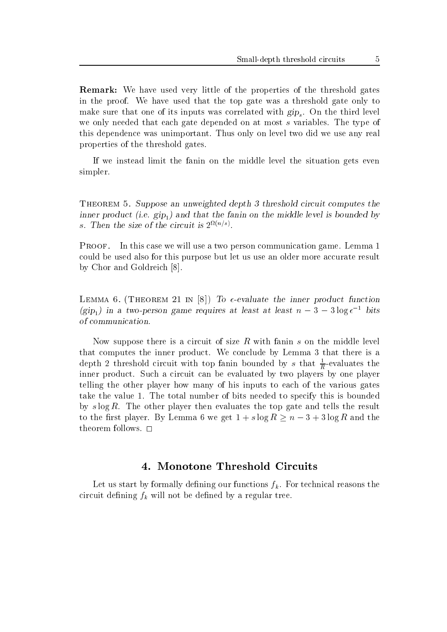Remark: We have used very little of the properties of the threshold gates in the proof. We have used that the top gate was a threshold gate only to make sure that one of its inputs was correlated with  $gip_s$ . On the third level we only needed that each gate depended on at most s variables. The type of this dependence was unimportant. Thus only on level two did we use any real properties of the threshold gates.

If we instead limit the fanin on the middle level the situation gets even simpler.

THEOREM 5. Suppose an unweighted depth 3 threshold circuit computes the inner product (i.e.  $\text{gip}_1$ ) and that the fanin on the middle level is bounded by s. Then the size of the circuit is  $2^{-(n+1)}$ .

Proof. In this case we will use a two person communication game. Lemma 1 could be used also for this purpose but let us use an older more accurate result by Chor and Goldreich [8].

LEMMA 6. (THEOREM 21 IN [8]) To  $\epsilon$ -evaluate the inner product function (gip<sub>1</sub>) in a two-person game requires at least at least  $n - 3 - 3 \log \epsilon^{-1}$  bits of communication.

Now suppose there is a circuit of size  $R$  with fanin  $s$  on the middle level that computes the inner product. We conclude by Lemma 3 that there is a depth 2 threshold circuit with top fanin bounded by s that  $\frac{1}{R}$ -evaluates the inner product. Such a circuit can be evaluated by two players by one player telling the other player how many of his inputs to each of the various gates take the value 1. The total number of bits needed to specify this is bounded by  $s \log R$ . The other player then evaluates the top gate and tells the result to the first player. By Lemma 6 we get  $1 + s \log R \geq n - 3 + 3 \log R$  and the theorem follows. 2020

# 4. Monotone Threshold Circuits

Let us start by formally defining our functions  $f_k$ . For technical reasons the circuit defining  $f_k$  will not be defined by a regular tree.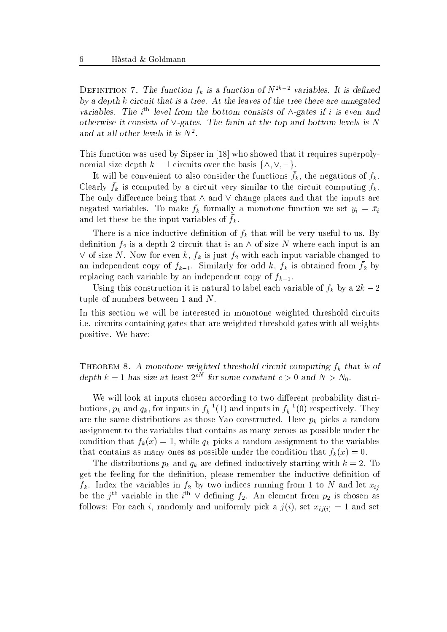DEFINITION 7. The function  $f_k$  is a function of  $N^{2k-2}$  variables. It is defined by a depth <sup>k</sup> circuit that is a tree. At the leaves of the tree there are unnegated variables. The  $i^{\text{th}}$  level from the bottom consists of  $\wedge$ -gates if i is even and otherwise it consists of  $\vee$ -gates. The fanin at the top and bottom levels is N and at all other levels it is <sup>N</sup><sup>2</sup> .

This function was used by Sipser in [18] who showed that it requires superpolynomial size depth  $k - 1$  circuits over the basis  $\{\wedge, \vee, \neg\}.$ 

It will be convenient to also consider the functions  $f_k$ , the negations of  $f_k$ . Crearly  $f_k$  is computed by a circuit very similar to the circuit computing  $f_k$ . The only difference being that  $\wedge$  and  $\vee$  change places and that the inputs are negated variables. To make  $f_k$  formally a monotone function we set  $g_i = x_i$ and let these be the input variables of  $f_k$ .

There is a nice inductive definition of  $f_k$  that will be very useful to us. By definition  $f_2$  is a depth 2 circuit that is an  $\wedge$  of size N where each input is an  $\vee$  of size N. Now for even k,  $f_k$  is just  $f_2$  with each input variable changed to an independent copy of  $f_{k-1}$ . Similarly for odd  $\kappa$ ,  $f_k$  is obtained from  $f_2$  by replacing each variable by an independent copy of  $f_{k-1}$ .

Using this construction it is natural to label each variable of  $f_k$  by a  $2k - 2$ tuple of numbers between 1 and N.

In this section we will be interested in monotone weighted threshold circuits i.e. circuits containing gates that are weighted threshold gates with all weights positive. We have:

THEOREM 8. A monotone weighted threshold circuit computing  $f_k$  that is of depth k – 1 has size at least  $2^{cN}$  for some constant  $c > 0$  and  $N > N_0$ .

We will look at inputs chosen according to two different probability distributions,  $p_k$  and  $q_k$ , for inputs in  $J_k$   $\bar{ }$  (1) and inputs in  $J_k$   $\bar{ }$  (0) respectively. They are the same distributions as those Yao constructed. Here  $p_k$  picks a random assignment to the variables that contains as many zeroes as possible under the condition that  $f_k(x) = 1$ , while  $q_k$  picks a random assignment to the variables that contains as many ones as possible under the condition that  $f_k(x) = 0$ .

The distributions  $p_k$  and  $q_k$  are defined inductively starting with  $k = 2$ . To get the feeling for the definition, please remember the inductive definition of  $f_k$ . Index the variables in  $f_2$  by two indices running from 1 to N and let  $x_{ij}$ be the  $j^{\text{th}}$  variable in the  $i^{\text{th}}$  V defining  $f_2$ . An element from  $p_2$  is chosen as follows: For each i, randomly and uniformly pick a  $j(i)$ , set  $x_{ij(i)} = 1$  and set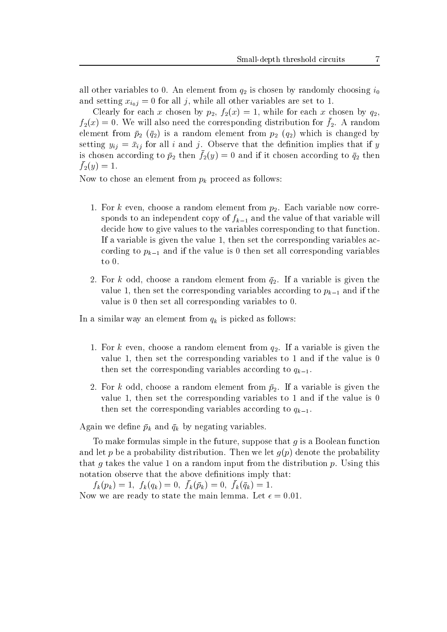all other variables to 0. An element from q2 is chosen by randomly choosing i0 and setting  $x_{i_0j} = 0$  for all j, while all other variables are set to 1.

Clearly for each x chosen by  $p_2$ ,  $f_2(x) = 1$ , while for each x chosen by  $q_2$ ,  $f_2(x) = 0$ . We will also need the corresponding distribution for  $f_2$ . A random element from  $p_2$  (q2) is a random element from  $p_2$  (q2) which is changed by setting  $y_{ij} = \bar{x}_{ij}$  for all i and j. Observe that the definition implies that if y is chosen according to  $p_2$  then  $f_2(y)=0$  and if it chosen according to  $q_2$  then  $f_2(y) = 1.$ 

Now to chose an element from  $p_k$  proceed as follows:

- 1. For k even, choose a random element from  $p_2$ . Each variable now corresponds to an independent copy of  $f_{k-1}$  and the value of that variable will decide how to give values to the variables corresponding to that function. If a variable is given the value 1, then set the corresponding variables according to  $p_{k-1}$  and if the value is 0 then set all corresponding variables to 0.
- 2. For k odd, choose a random element from  $\bar{q}_2$ . If a variable is given the value 1, then set the corresponding variables according to  $p_{k-1}$  and if the value is 0 then set all corresponding variables to 0.

In a similar way an element from  $q_k$  is picked as follows:

- 1. For k even, choose a random element from  $q_2$ . If a variable is given the value 1, then set the corresponding variables to 1 and if the value is  $0$ then set the corresponding variables according to  $q_{k-1}$ .
- 2. For k odd, choose a random element from  $\bar{p}_2$ . If a variable is given the value 1, then set the corresponding variables to 1 and if the value is  $0$ then set the corresponding variables according to  $q_{k-1}$ .

Again we define  $\bar{p}_k$  and  $\bar{q}_k$  by negating variables.

To make formulas simple in the future, suppose that  $q$  is a Boolean function and let p be a probability distribution. Then we let  $q(p)$  denote the probability that g takes the value 1 on a random input from the distribution  $p$ . Using this notation observe that the above definitions imply that:

 $f(k) = 1$ ,  $f(k)(qk) = 0$ ,  $f(k)(pk) = 0$ ,  $f(k)(qk) = 1$ . Now we are ready to state the main lemma. Let  $\epsilon = 0.01$ .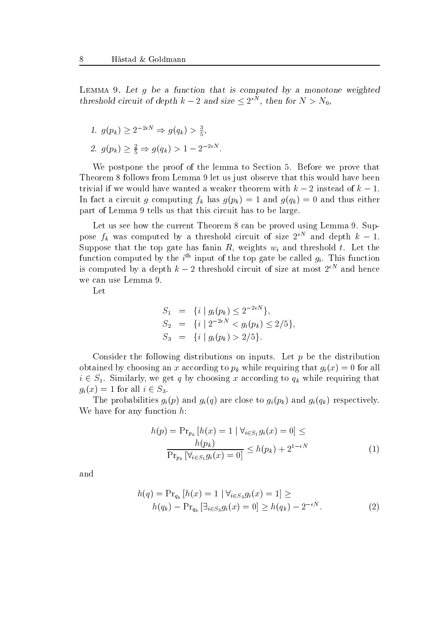LEMMA 9. Let  $g$  be a function that is computed by a monotone weighted threshold circuit of depth  $k-2$  and size  $\leq 2^{\epsilon N}$ , then for  $N > N_0$ ,

1. 
$$
g(p_k) \ge 2^{-2\epsilon N} \Rightarrow g(q_k) > \frac{3}{5}
$$
,  
2.  $g(p_k) \ge \frac{2}{5} \Rightarrow g(q_k) > 1 - 2^{-2\epsilon N}$ .

We postpone the proof of the lemma to Section 5. Before we prove that Theorem 8 follows from Lemma 9 let us just observe that this would have been trivial if we would have wanted a weaker theorem with  $k-2$  instead of  $k-1$ . In fact a circuit g computing  $f_k$  has  $g(p_k) = 1$  and  $g(q_k) = 0$  and thus either part of Lemma 9 tells us that this circuit has to be large.

Let us see how the current Theorem 8 can be proved using Lemma 9. Suppose  $f_k$  was computed by a threshold circuit of size  $2^{++}$  and depth  $\kappa = 1$ . Suppose that the top gate has fanin  $R$ , weights  $w_i$  and threshold  $t$ . Let the function computed by the  $i^{\text{th}}$  input of the top gate be called  $g_i$ . This function is computed by a depth  $k-2$  threshold circuit of size at most  $2^{\epsilon N}$  and hence we can use Lemma 9.

Let

$$
S_1 = \{ i \mid g_i(p_k) \le 2^{-2\epsilon N} \},
$$
  
\n
$$
S_2 = \{ i \mid 2^{-2\epsilon N} < g_i(p_k) \le 2/5 \},
$$
  
\n
$$
S_3 = \{ i \mid g_i(p_k) > 2/5 \}.
$$

Consider the following distributions on inputs. Let  $p$  be the distribution obtained by choosing an x according to  $p_k$  while requiring that  $g_i(x) = 0$  for all  $i \in S_1$ . Similarly, we get q by choosing x according to  $q_k$  while requiring that  $g_i(x) = 1$  for all  $i \in S_3$ .

The probabilities  $g_i(p)$  and  $g_i(q)$  are close to  $g_i(p_k)$  and  $g_i(q_k)$  respectively. We have for any function h:

$$
h(p) = \Pr_{p_k} [h(x) = 1 | \forall_{i \in S_1} g_i(x) = 0] \le
$$
  

$$
\frac{h(p_k)}{\Pr_{p_k} [\forall_{i \in S_1} g_i(x) = 0]} \le h(p_k) + 2^{1 - \epsilon N}
$$
 (1)

and

$$
h(q) = \Pr_{q_k} [h(x) = 1 \mid \forall_{i \in S_3} g_i(x) = 1] \ge
$$
  
 
$$
h(q_k) - \Pr_{q_k} [\exists_{i \in S_3} g_i(x) = 0] \ge h(q_k) - 2^{-\epsilon N}.
$$
 (2)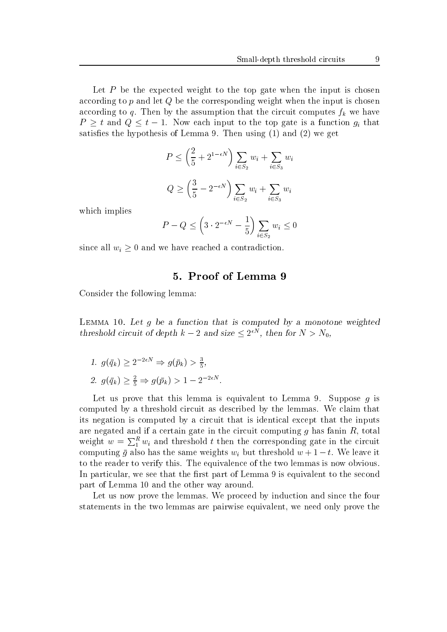Let  $P$  be the expected weight to the top gate when the input is chosen according to  $p$  and let  $Q$  be the corresponding weight when the input is chosen according to q. Then by the assumption that the circuit computes  $f_k$  we have  $P \geq t$  and  $Q \leq t - 1$ . Now each input to the top gate is a function  $g_i$  that satisfies the hypothesis of Lemma 9. Then using  $(1)$  and  $(2)$  we get

$$
P \le \left(\frac{2}{5} + 2^{1-\epsilon N}\right) \sum_{i \in S_2} w_i + \sum_{i \in S_3} w_i
$$
  

$$
Q \ge \left(\frac{3}{5} - 2^{-\epsilon N}\right) \sum_{i \in S_2} w_i + \sum_{i \in S_3} w_i
$$

which implies

$$
P - Q \le \left(3 \cdot 2^{-\epsilon N} - \frac{1}{5}\right) \sum_{i \in S_2} w_i \le 0
$$

since all  $w_i \geq 0$  and we have reached a contradiction.

# 5. Proof of Lemma 9

Consider the following lemma:

LEMMA 10. Let  $g$  be a function that is computed by a monotone weighted threshold circuit of depth  $k-2$  and size  $\leq 2^{\epsilon N}$ , then for  $N > N_0$ ,

- 1.  $g(\bar{q}_k) \geq 2^{-2\epsilon N} \Rightarrow g(\bar{p}_k) > \frac{3}{5},$
- 2.  $g(\bar{q}_k) \ge \frac{2}{5} \Rightarrow g(\bar{p}_k) > 1 2^{-2\epsilon N}$ .

Let us prove that this lemma is equivalent to Lemma 9. Suppose  $q$  is computed by a threshold circuit as described by the lemmas. We claim that its negation is computed by a circuit that is identical except that the inputs are negated and if a certain gate in the circuit computing  $g$  has fanin  $R$ , total weight  $w = \sum_{1}^{n} w_i$  and threshold t then the corresponding gate in the circuit computing  $\bar{g}$  also has the same weights  $w_i$  but threshold  $w + 1 - t$ . We leave it to the reader to verify this. The equivalence of the two lemmas is now obvious. In particular, we see that the first part of Lemma 9 is equivalent to the second part of Lemma 10 and the other way around.

Let us now prove the lemmas. We proceed by induction and since the four statements in the two lemmas are pairwise equivalent, we need only prove the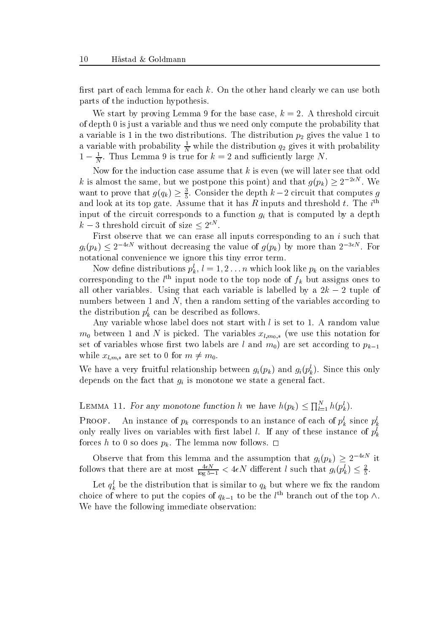first part of each lemma for each k. On the other hand clearly we can use both parts of the induction hypothesis.

We start by proving Lemma 9 for the base case,  $k = 2$ . A threshold circuit of depth 0 is just a variable and thus we need only compute the probability that a variable is  $\pm$  in the two distributions. The distribution  $p_2$  gives the value  $\pm$  to a variable with probability  $\frac{1}{N}$  while the distribution  $q_2$  gives it with probability  $1 - \frac{1}{N}$ . Thus Lemma 9 is true for  $\kappa = 2$  and sumclemly large N.

Now for the induction case assume that  $k$  is even (we will later see that odd k is almost the same, but we postpone this point) and that  $g(p_k) \geq 2^{-2\epsilon N}$ . We want to prove that  $g(q_k) \geq \frac{3}{5}$ . Consider the depth  $k-2$  circuit that computes g and look at its top gate. Assume that it has  $R$  inputs and threshold  $\iota$ . The  $i^{+}$ input of the circuit corresponds to a function  $g_i$  that is computed by a depth  $k-3$  threshold circuit of size  $\leq 2^{\epsilon N}$ .

First observe that we can erase all inputs corresponding to an  $i$  such that  $g_i(p_k) \leq 2^{-4\epsilon N}$  without decreasing the value of  $g(p_k)$  by more than  $2^{-3\epsilon N}$ . For notational convenience we ignore this tiny error term.

Now define distributions  $p_k, \, \iota = 1, 2 \ldots n$  which look like  $p_k$  on the variables corresponding to the  $t^{\infty}$  input node to the top node of  $f_k$  but assigns ones to all other variables. Using that each variable is labelled by a  $2k - 2$  tuple of numbers between 1 and N, then a random setting of the variables according to the distribution  $p_k$  can be described as follows.

Any variable whose label does not start with  $l$  is set to 1. A random value m0 between <sup>1</sup> and <sup>N</sup> is picked. The variables xl;m0; (we use this notation for set of variables whose first two labels are l and  $m_0$ ) are set according to  $p_{k-1}$ while  $x_{l,m,*}$  are set to 0 for  $m \neq m_0$ .

we have a very fruitful relationship between  $g_i(p_k)$  and  $g_i(p_k)$ . Since this only depends on the fact that  $g_i$  is monotone we state a general fact.

LEMMA 11. For any monotone function h we have  $h(p_k) \le \prod_{l=1}^N h(p_k^l)$ .

**PROOF.** An instance of  $p_k$  corresponds to an instance of each of  $p_k$  since  $p_k$ only really lives on variables with first label l. If any of these instance of  $p_k^l$ forces h to 0 so does  $p_k$ . The lemma now follows.  $\Box$ 

Observe that from this lemma and the assumption that  $g_i(p_k) \geq 2^{-4\epsilon N}$  it follows that there are at most  $\frac{4eN}{\log 5-1} < 4\epsilon N$  different l such that  $g_i(p_k) \leq \frac{2}{5}$ .

Let  $q_k$  be the distribution that is similar to  $q_k$  but where we fix the random choice of where to put the copies of  $q_{k-1}$  to be the l<sup>'th</sup> branch out of the top  $\wedge$ . We have the following immediate observation: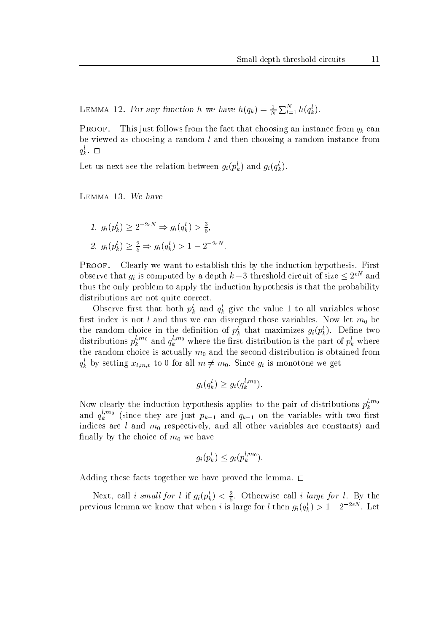LEMMA 12. For any function h we have  $h(q_k) = \frac{1}{N} \sum_{l=1}^{N} h(q_k^l)$ .

**PROOF.** This just follows from the fact that choosing an instance from  $q_k$  can be viewed as choosing a random  $l$  and then choosing a random instance from  $q_k$ .  $\Box$ 

Let us next see the relation between  $g_i(p_k)$  and  $g_i(q_k)$ .

Lemma 13. We have

1.  $g_i(p_k^i) \geq 2^{-2\epsilon N} \Rightarrow g_i(q_k^i) > \frac{3}{5},$ 2.  $g_i(p_k^i) \geq \frac{2}{5} \Rightarrow g_i(q_k^i) > 1 - 2^{-2\epsilon N}$ .

5

PROOF. Clearly we want to establish this by the induction hypothesis. First observe that  $q_i$  is computed by a depth  $k-3$  threshold circuit of size  $\leq 2^{\epsilon N}$  and thus the only problem to apply the induction hypothesis is that the probability distributions are not quite correct.

Observe first that both  $p_k$  and  $q_k$  give the value 1 to all variables whose rst index is not land thus we can disregard those variables. Now let m0 be the random choice in the definition of  $p_k^{\perp}$  that maximizes  $g_i(p_k)$ . Define two distributions  $p_k^{\rm{new}}$  and  $q_k^{\rm{new}}$  where the first distribution is the part of  $p_k^{\rm{c}}$  where the random choice is actually model the second distribution is obtained from the second from  $\sim$  $q_k^t$  by setting  $x_{l,m,*}$  to 0 for all  $m \neq m_0$ . Since  $g_i$  is monotone we get

$$
g_i(q_k^l) \ge g_i(q_k^{l,m_0}).
$$

Now construct the induction hypothesis applies to the pair of distribution  $\mathbf{r}$ Now clearly the induction hypothesis applies to the pair of distributions  $p_k^{l,m_0}$ and  $q_k^{n,\cdots}$  (since they are just  $p_{k-1}$  and  $q_{k-1}$  on the variables with two first indices are <sup>l</sup> and m0 respectively, and all other variables are constants) and nally by the choice of most work and the choice of  $\mathbf{u}$ 

$$
g_i(p_k^l) \leq g_i(p_k^{l,m_0}).
$$

 $\alpha$  for the lemma the lemma the lemma the lemma the lemma the lemma. 2011  $\alpha$ 

Next, call i small for l II  $g_i(p_k) < \frac{1}{5}$ . Otherwise call i large for l. By the 5 previous lemma we know that when t is large for t then  $g_i(q_k)>1-2$  . Let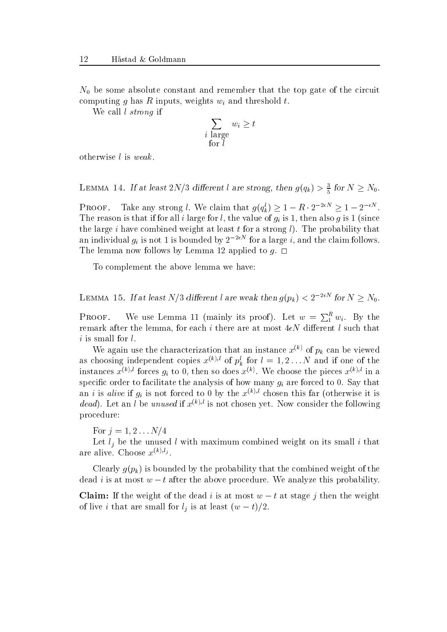N0 be some absolute constant and remember that the top gate of the circuit computing g has R inputs, weights  $w_i$  and threshold t.

We call *l* strong if

$$
\sum_{\substack{i \text{ large} \\ \text{for } l}} w_i \ge t
$$

otherwise <sup>l</sup> is weak .

LEMMA 14. If at least  $2N/3$  different l are strong, then  $g(q_k) > \frac{3}{5}$  for  $N \ge N_0$ .

5

**PROOF.** Take any strong l. We claim that  $g(q_k) \geq 1 - R \cdot 2^{-2\epsilon N} \geq 1 - 2^{-\epsilon N}$ . The reason is that if for all i large for l, the value of  $g_i$  is 1, then also g is 1 (since the large i have combined weight at least t for a strong  $l$ ). The probability that an individual  $g_i$  is not 1 is bounded by  $2^{-2\epsilon N}$  for a large i, and the claim follows. The lemma now follows by Lemma 12 applied to  $g$ .  $\Box$ 

To complement the above lemma we have:

LEMMA 15. If at least N/3 different l are weak then  $g(p_k) < 2^{-2\epsilon N}$  for  $N \ge N_0$ .

**PROOF.** We use Lemma 11 (mainly its proof). Let  $w = \sum_{1}^{n} w_i$ . By the  $\overline{\phantom{a}}$ remark after the lemma, for each i there are at most  $4\epsilon N$  different l such that

We again use the characterization that an instance  $x^{(k)}$  of  $p_k$  can be viewed as choosing independent copies  $x^{(k)}$ ; or  $p_k$  for  $i = 1, 2 \ldots N$  and if one of the instances  $x^{k}$ . forces  $g_i$  to 0, then so does  $x^{k}$ . We choose the pieces  $x^{k}$ . In a specific order to facilitate the analysis of how many  $g_i$  are forced to 0. Say that an i is alive if  $q_i$  is not forced to 0 by the  $x^{(k),l}$  chosen this far (otherwise it is dead). Let an l be unused if  $x^{(k),l}$  is not chosen yet. Now consider the following procedure:

For  $j = 1, 2...N/4$ 

 $\sim$  . I also the unused in the unused maximum computers well in  $O$  and the small i that  $\sim$ are alive. Choose  $x^{(k),l_j}$ .

Clearly  $g(p_k)$  is bounded by the probability that the combined weight of the dead i is at most  $w - t$  after the above procedure. We analyze this probability.

**Claim:** If the weight of the dead i is at most  $w - t$  at stage j then the weight of live *t* that are small for  $t_j$  is at least  $(w-t)/2$ .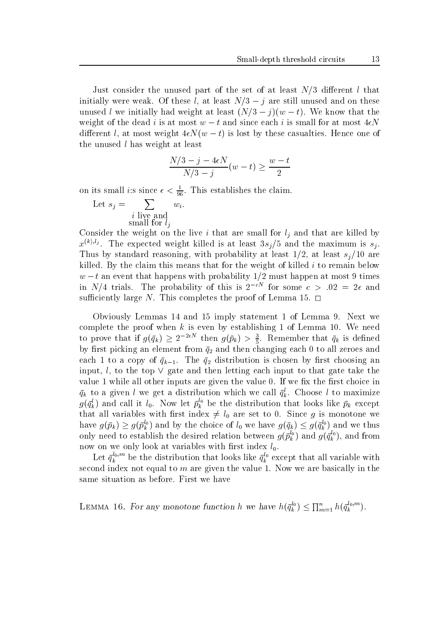Just consider the unused part of the set of at least  $N/3$  different l that initially were weak. Of these l, at least  $N/3 - j$  are still unused and on these unused l we initially had weight at least  $(N/3 - i)(w - t)$ . We know that the weight of the dead i is at most  $w - t$  and since each i is small for at most  $4\epsilon N$ different l, at most weight  $4\epsilon N(w - t)$  is lost by these casualties. Hence one of the unused  $l$  has weight at least

$$
\frac{N/3 - j - 4\epsilon N}{N/3 - j}(w - t) \ge \frac{w - t}{2}
$$

on its small  $i$ :s since  $\epsilon < \frac{1}{96}$ . This establishes the claim.  $-$ 

Let 
$$
s_j = \sum_{\substack{i \text{ live and} \\ \text{small for } l_j}} w_i.
$$

Consider the weight on the live ithat are small for <sup>l</sup> <sup>j</sup> and that are killed by  $x^{x\cdots x}$ . The expected weight killed is at least  $3s_{i}/5$  and the maximum is  $s_{i}.$ Thus by standard reasoning, with probability at least  $1/2$ , at least  $s_j/10$  are killed. By the claim this means that for the weight of killed  $i$  to remain below  $w = t$  an event that happens with probability 1/2 must happen at most 9 times in N/4 trials. The probability of this is  $2^{-cN}$  for some  $c > 0.02 = 2\epsilon$  and sufficiently large N. This completes the proof of Lemma 15.  $\Box$ 

Obviously Lemmas 14 and 15 imply statement 1 of Lemma 9. Next we complete the proof when  $k$  is even by establishing 1 of Lemma 10. We need to prove that if  $g(\bar{q}_k) \geq 2^{-2\epsilon N}$  then  $g(\bar{p}_k) > \frac{3}{5}$ . Remember that  $\bar{q}_k$  is defined  $\alpha$  and picking and the changing from  $\gamma$  and the changing each  $\alpha$  to all zero all zero. each 1 to a copy of  $\bar{q}_{k-1}$ . The  $\bar{q}_2$  distribution is chosen by first choosing an input, l, to the top  $\vee$  gate and then letting each input to that gate take the value 1 while all other inputs are given the value 0. If we fix the first choice in  $q_k$  to a given l we get a distribution which we call  $q_k$ . Choose l to maximize  $g(q_k^*)$  and call it  $\iota_0$ . Now let  $p_k^*$  be the distribution that looks like  $p_k$  except that all variables with first index  $\neq l_0$  are set to 0. Since g is monotone we have  $g(\bar{p}_k) \geq g(\bar{p}_k^{\omega})$  and by the choice of  $l_0$  we have  $g(\bar{q}_k) \leq g(\bar{q}_k^{\omega})$  and we thus only need to establish the desired relation between  $g(p_k^\vee)$  and  $g(q_k^\vee),$  and from now on we only look at variables with first index  $l_0$ .

Let  $q_k^{\omega,\cdots}$  be the distribution that looks like  $q_k^{\omega}$  except that all variable with second index not equal to  $m$  are given the value 1. Now we are basically in the same situation as before. First we have

LEMMA 16. For any monotone function h we have  $h(\bar{q}_k^{i_0}) \leq \prod_{m=1}^n h(\bar{q}_k^{i_0,m}).$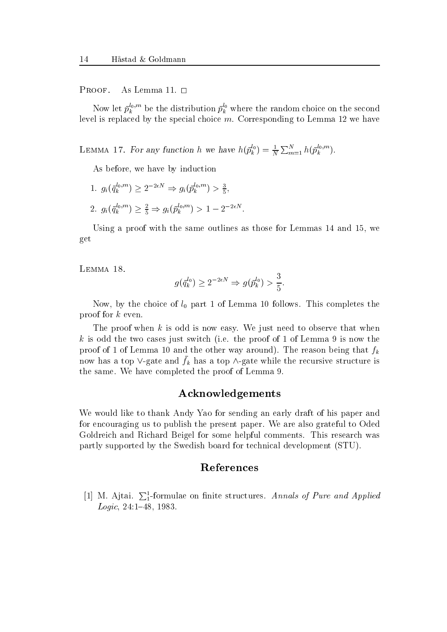#### PROOF. As Lemma 11.  $\square$

Now let  $p_k^{\infty}$  be the distribution  $p_k^{\infty}$  where the random choice on the second level is replaced by the special choice  $m$ . Corresponding to Lemma 12 we have

LEMMA 17. For any function h we have  $h(\bar{p}_k^{i_0}) = \frac{1}{N} \sum_{m=1}^N h(\bar{p}_k^{i_0,m})$ .

As before, we have by induction

5

1.  $g_i(\bar{q}_k^{i_0,m}) \geq 2^{-2\epsilon N} \Rightarrow g_i(\bar{p}_k^{i_0,m}) > \frac{3}{5},$ 2.  $g_i(\bar{q}_k^{w_i,m}) \geq \frac{2}{5} \Rightarrow g_i(\bar{p}_k^{w_i,m}) > 1 - 2^{-2\epsilon N}$ .

Using a proof with the same outlines as those for Lemmas 14 and 15, we get

Lemma 18.

$$
g(\bar{q}_k^{l_0}) \ge 2^{-2\epsilon N} \Rightarrow g(\bar{p}_k^{l_0}) > \frac{3}{5}.
$$

Now, by the choice of l0 part <sup>1</sup> of Lemma <sup>10</sup> follows. This completes the proof for <sup>k</sup> even.

The proof when  $k$  is odd is now easy. We just need to observe that when k is odd the two cases just switch (i.e. the proof of 1 of Lemma 9 is now the proof of 1 of Lemma 10 and the other way around). The reason being that  $f_k$ now has a top  $\vee$ -gate and  $f_k$  has a top  $\wedge$ -gate while the recursive structure is the same. We have completed the proof of Lemma 9.

# Acknowledgements

We would like to thank Andy Yao for sending an early draft of his paper and for encouraging us to publish the present paper. We are also grateful to Oded Goldreich and Richard Beigel for some helpful comments. This research was partly supported by the Swedish board for technical development (STU).

#### References

 $[1]$  M. Ajtai.  $\sum_1^1$ -formulae on finite structures. Annals of Pure and Applied Logic,  $24:1-48$ , 1983.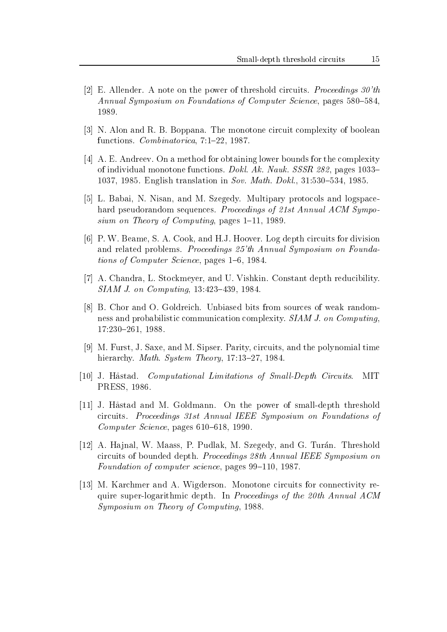- [2] E. Allender. A note on the power of threshold circuits. *Proceedings*  $30'th$ Annual Symposium on Foundations of Computer Science, pages  $580-584$ , 1989.
- [3] N. Alon and R. B. Boppana. The monotone circuit complexity of boolean functions. *Combinatorica*,  $7:1-22$ , 1987.
- [4] A. E. Andreev. On a method for obtaining lower bounds for the complexity of individual monotone functions. Dokl. Ak. Nauk. SSSR 282, pages  $1033-$ 1037, 1985. English translation in Sov. Math. Dokl.,  $31:530-534$ , 1985.
- [5] L. Babai, N. Nisan, and M. Szegedy. Multipary protocols and logspacehard pseudorandom sequences. Proceedings of 21st Annual ACM Symposium on Theory of Computing, pages  $1-11$ , 1989.
- [6] P. W. Beame, S. A. Cook, and H.J. Hoover. Log depth circuits for division and related problems. Proceedings 25'th Annual Symposium on Foundations of Computer Science, pages  $1–6$ , 1984.
- [7] A. Chandra, L. Stockmeyer, and U. Vishkin. Constant depth reducibility.  $SIAM J.$  on  $Computing$ , 13:423-439, 1984.
- [8] B. Chor and O. Goldreich. Unbiased bits from sources of weak randomness and probabilistic communication complexity. SIAM J. on Computing, 17:230-261, 1988.
- [9] M. Furst, J. Saxe, and M. Sipser. Parity, circuits, and the polynomial time hierarchy. Math. System Theory, 17:13-27, 1984.
- [10] J. Håstad. Computational Limitations of Small-Depth Circuits. MIT PRESS, 1986.
- [11] J. Hastad and M. Goldmann. On the power of small-depth threshold circuits. Proceedings 31st Annual IEEE Symposium on Foundations of Computer Science, pages  $610-618$ , 1990.
- [12] A. Hajnal, W. Maass, P. Pudlak, M. Szegedy, and G. Turán. Threshold circuits of bounded depth. Proceedings 28th Annual IEEE Symposium on Foundation of computer science, pages  $99-110$ , 1987.
- [13] M. Karchmer and A. Wigderson. Monotone circuits for connectivity require super-logarithmic depth. In Proceedings of the 20th Annual ACM Symposium on Theory of Computing, 1988.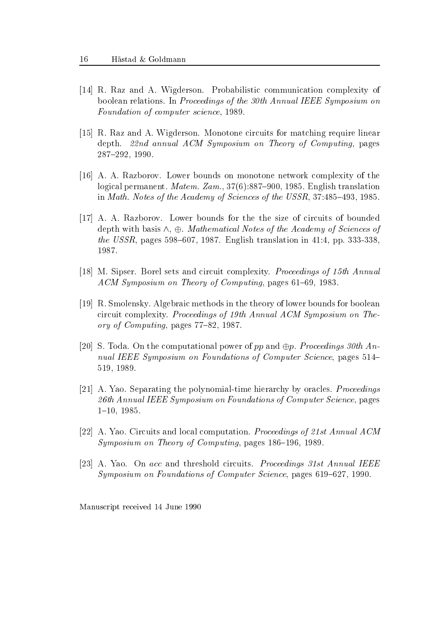- [14] R. Raz and A. Wigderson. Probabilistic communication complexity of boolean relations. In Proceedings of the 30th Annual IEEE Symposium on Foundation of computer science, 1989.
- [15] R. Raz and A. Wigderson. Monotone circuits for matching require linear depth.  $22nd$  annual  $ACM$  Symposium on Theory of Computing, pages 287{292, 1990.
- [16] A. A. Razborov. Lower bounds on monotone network complexity of the logical permanent. *Matem.* Zam.,  $37(6)$ :887-900, 1985. English translation in Math. Notes of the Academy of Sciences of the USSR,  $37:485-493$ , 1985.
- [17] A. A. Razborov. Lower bounds for the the size of circuits of bounded depth with basis  $\wedge$ ,  $\oplus$ . *Mathematical Notes of the Academy of Sciences of* the USSR, pages 598-607, 1987. English translation in 41:4, pp. 333-338, 1987.
- [18] M. Sipser. Borel sets and circuit complexity. Proceedings of 15th Annual  $ACM$  Symposium on Theory of Computing, pages 61–69, 1983.
- [19] R. Smolensky. Algebraic methods in the theory of lower bounds for boolean circuit complexity. Proceedings of 19th Annual ACM Symposium on Theory of Computing, pages  $77-82$ , 1987.
- [20] S. Toda. On the computational power of pp and  $\oplus p$ . Proceedings 30th Annual IEEE Symposium on Foundations of Computer Science, pages 514– 519, 1989.
- [21] A. Yao. Separating the polynomial-time hierarchy by oracles. Proceedings 26th Annual IEEE Symposium on Foundations of Computer Science, pages 1{10, 1985.
- [22] A. Yao. Circuits and local computation. Proceedings of 21st Annual ACM  $Symposing on Theory of Computing, pages 186-196, 1989.$
- [23] A. Yao. On acc and threshold circuits. Proceedings 31st Annual IEEE Symposium on Foundations of Computer Science, pages  $619-627$ , 1990.

Manuscript received 14 June 1990